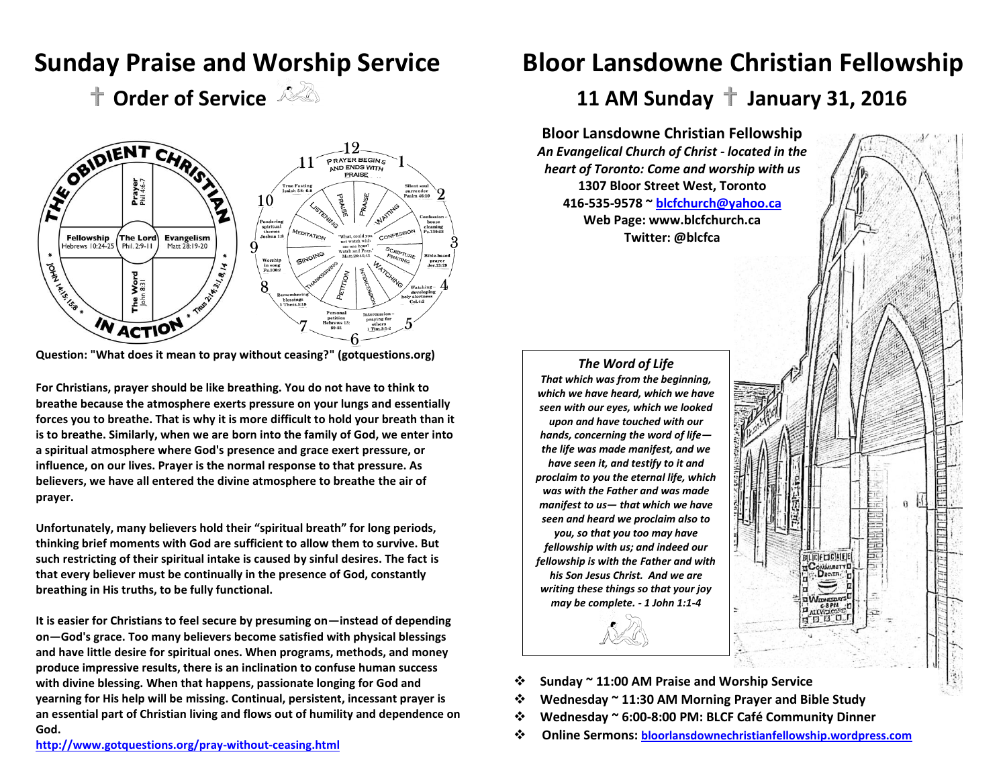

**Question: "What does it mean to pray without ceasing?" (gotquestions.org)**

**For Christians, prayer should be like breathing. You do not have to think to breathe because the atmosphere exerts pressure on your lungs and essentially forces you to breathe. That is why it is more difficult to hold your breath than it is to breathe. Similarly, when we are born into the family of God, we enter into a spiritual atmosphere where God's presence and grace exert pressure, or influence, on our lives. Prayer is the normal response to that pressure. As believers, we have all entered the divine atmosphere to breathe the air of prayer.**

**Unfortunately, many believers hold their "spiritual breath" for long periods, thinking brief moments with God are sufficient to allow them to survive. But such restricting of their spiritual intake is caused by sinful desires. The fact is that every believer must be continually in the presence of God, constantly breathing in His truths, to be fully functional.** 

**It is easier for Christians to feel secure by presuming on—instead of depending on—God's grace. Too many believers become satisfied with physical blessings and have little desire for spiritual ones. When programs, methods, and money produce impressive results, there is an inclination to confuse human success with divine blessing. When that happens, passionate longing for God and yearning for His help will be missing. Continual, persistent, incessant prayer is an essential part of Christian living and flows out of humility and dependence on God.** 

# **Sunday Praise and Worship Service Bloor Lansdowne Christian Fellowship**

**Order of Service**  $\sqrt{2}$  11 AM Sunday  $\pm$  January 31, 2016

**Bloor Lansdowne Christian Fellowship** *An Evangelical Church of Christ - located in the heart of Toronto: Come and worship with us* **1307 Bloor Street West, Toronto 416-535-9578 ~ [blcfchurch@yahoo.ca](mailto:blcfchurch@yahoo.ca) Web Page: [www.blcfchurch.ca](http://www.blcfchurch.ca/)  Twitter: @blcfca**



- **Sunday ~ 11:00 AM Praise and Worship Service**
- **Wednesday ~ 11:30 AM Morning Prayer and Bible Study**
- **Wednesday ~ 6:00-8:00 PM: BLCF Café Community Dinner**
- **Online Sermons: [bloorlansdownechristianfellowship.wordpress.com](http://www.bloorlansdownechristianfellowship.wordpress.com/)**

**<http://www.gotquestions.org/pray-without-ceasing.html>**